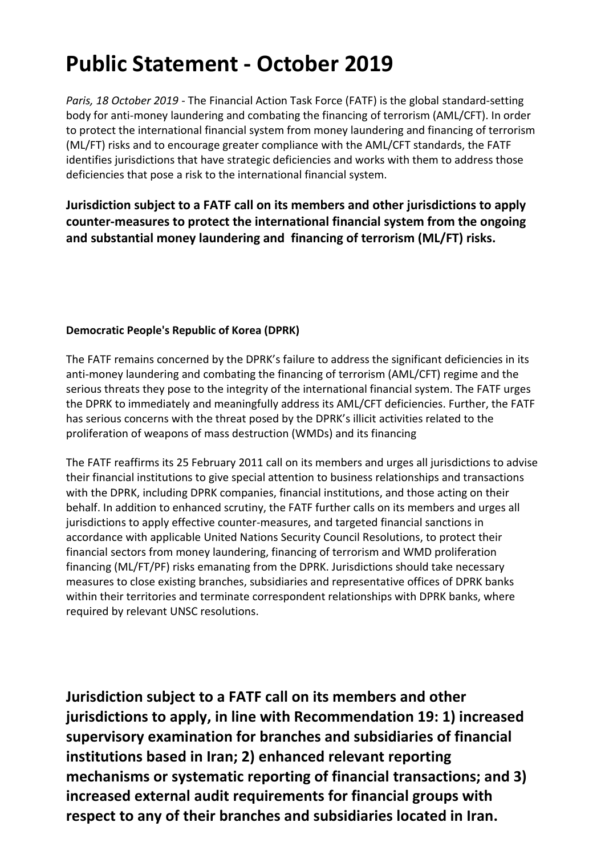## **Public Statement - October 2019**

*Paris, 18 October 2019* - The Financial Action Task Force (FATF) is the global standard-setting body for anti-money laundering and combating the financing of terrorism (AML/CFT). In order to protect the international financial system from money laundering and financing of terrorism (ML/FT) risks and to encourage greater compliance with the AML/CFT standards, the FATF identifies jurisdictions that have strategic deficiencies and works with them to address those deficiencies that pose a risk to the international financial system.

**Jurisdiction subject to a FATF call on its members and other jurisdictions to apply counter-measures to protect the international financial system from the ongoing and substantial money laundering and financing of terrorism (ML/FT) risks.** 

## **Democratic People's Republic of Korea (DPRK)**

The FATF remains concerned by the DPRK's failure to address the significant deficiencies in its anti-money laundering and combating the financing of terrorism (AML/CFT) regime and the serious threats they pose to the integrity of the international financial system. The FATF urges the DPRK to immediately and meaningfully address its AML/CFT deficiencies. Further, the FATF has serious concerns with the threat posed by the DPRK's illicit activities related to the proliferation of weapons of mass destruction (WMDs) and its financing

The FATF reaffirms its 25 February 2011 call on its members and urges all jurisdictions to advise their financial institutions to give special attention to business relationships and transactions with the DPRK, including DPRK companies, financial institutions, and those acting on their behalf. In addition to enhanced scrutiny, the FATF further calls on its members and urges all jurisdictions to apply effective counter-measures, and targeted financial sanctions in accordance with applicable United Nations Security Council Resolutions, to protect their financial sectors from money laundering, financing of terrorism and WMD proliferation financing (ML/FT/PF) risks emanating from the DPRK. Jurisdictions should take necessary measures to close existing branches, subsidiaries and representative offices of DPRK banks within their territories and terminate correspondent relationships with DPRK banks, where required by relevant UNSC resolutions.

**Jurisdiction subject to a FATF call on its members and other jurisdictions to apply, in line with Recommendation 19: 1) increased supervisory examination for branches and subsidiaries of financial institutions based in Iran; 2) enhanced relevant reporting mechanisms or systematic reporting of financial transactions; and 3) increased external audit requirements for financial groups with respect to any of their branches and subsidiaries located in Iran.**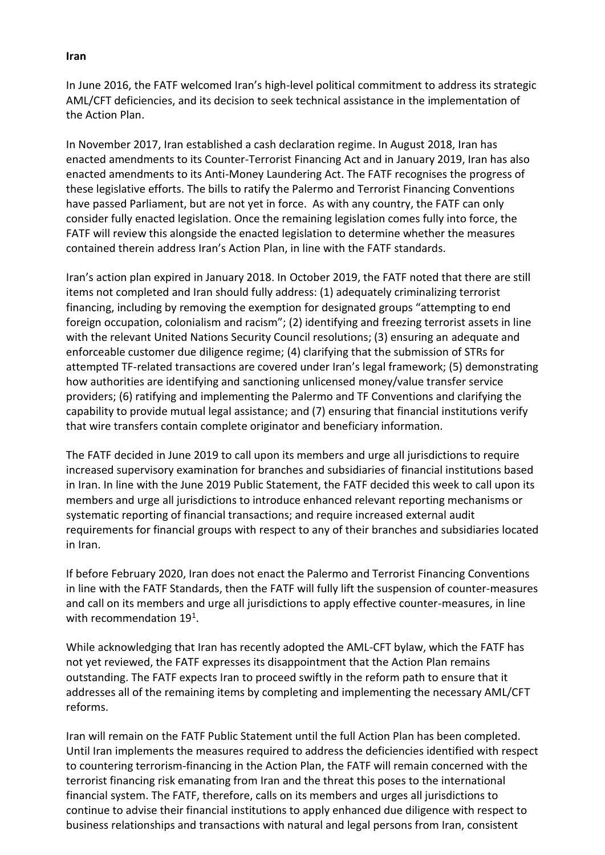## **Iran**

In June 2016, the FATF welcomed Iran's high-level political commitment to address its strategic AML/CFT deficiencies, and its decision to seek technical assistance in the implementation of the Action Plan.

In November 2017, Iran established a cash declaration regime. In August 2018, Iran has enacted amendments to its Counter-Terrorist Financing Act and in January 2019, Iran has also enacted amendments to its Anti-Money Laundering Act. The FATF recognises the progress of these legislative efforts. The bills to ratify the Palermo and Terrorist Financing Conventions have passed Parliament, but are not yet in force. As with any country, the FATF can only consider fully enacted legislation. Once the remaining legislation comes fully into force, the FATF will review this alongside the enacted legislation to determine whether the measures contained therein address Iran's Action Plan, in line with the FATF standards.

Iran's action plan expired in January 2018. In October 2019, the FATF noted that there are still items not completed and Iran should fully address: (1) adequately criminalizing terrorist financing, including by removing the exemption for designated groups "attempting to end foreign occupation, colonialism and racism"; (2) identifying and freezing terrorist assets in line with the relevant United Nations Security Council resolutions; (3) ensuring an adequate and enforceable customer due diligence regime; (4) clarifying that the submission of STRs for attempted TF-related transactions are covered under Iran's legal framework; (5) demonstrating how authorities are identifying and sanctioning unlicensed money/value transfer service providers; (6) ratifying and implementing the Palermo and TF Conventions and clarifying the capability to provide mutual legal assistance; and (7) ensuring that financial institutions verify that wire transfers contain complete originator and beneficiary information.

The FATF decided in June 2019 to call upon its members and urge all jurisdictions to require increased supervisory examination for branches and subsidiaries of financial institutions based in Iran. In line with the June 2019 Public Statement, the FATF decided this week to call upon its members and urge all jurisdictions to introduce enhanced relevant reporting mechanisms or systematic reporting of financial transactions; and require increased external audit requirements for financial groups with respect to any of their branches and subsidiaries located in Iran.

If before February 2020, Iran does not enact the Palermo and Terrorist Financing Conventions in line with the FATF Standards, then the FATF will fully lift the suspension of counter-measures and call on its members and urge all jurisdictions to apply effective counter-measures, in line with recommendation 19<sup>1</sup>.

While acknowledging that Iran has recently adopted the AML-CFT bylaw, which the FATF has not yet reviewed, the FATF expresses its disappointment that the Action Plan remains outstanding. The FATF expects Iran to proceed swiftly in the reform path to ensure that it addresses all of the remaining items by completing and implementing the necessary AML/CFT reforms.

Iran will remain on the FATF Public Statement until the full Action Plan has been completed. Until Iran implements the measures required to address the deficiencies identified with respect to countering terrorism-financing in the Action Plan, the FATF will remain concerned with the terrorist financing risk emanating from Iran and the threat this poses to the international financial system. The FATF, therefore, calls on its members and urges all jurisdictions to continue to advise their financial institutions to apply enhanced due diligence with respect to business relationships and transactions with natural and legal persons from Iran, consistent